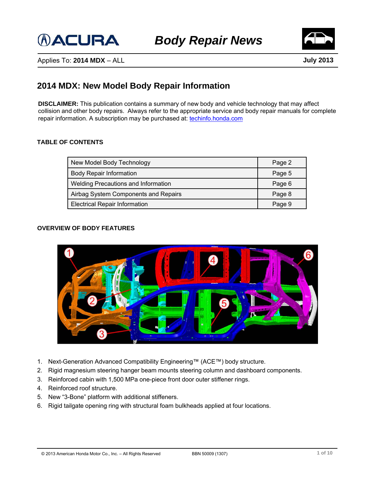



Applies To: **2014 MDX** – ALL

**July 2013**

## **2014 MDX: New Model Body Repair Information**

**DISCLAIMER:** This publication contains a summary of new body and vehicle technology that may affect collision and other body repairs. Always refer to the appropriate service and body repair manuals for complete repair information. A subscription may be purchased at: [techinfo.honda.com](https://techinfo.honda.com/rjanisis/logon.asp)

### **TABLE OF CONTENTS**

| New Model Body Technology            | Page 2 |
|--------------------------------------|--------|
| <b>Body Repair Information</b>       | Page 5 |
| Welding Precautions and Information  | Page 6 |
| Airbag System Components and Repairs | Page 8 |
| <b>Electrical Repair Information</b> | Page 9 |

### **OVERVIEW OF BODY FEATURES**



- 1. Next-Generation Advanced Compatibility Engineering™ (ACE™) body structure.
- 2. Rigid magnesium steering hanger beam mounts steering column and dashboard components.
- 3. Reinforced cabin with 1,500 MPa one-piece front door outer stiffener rings.
- 4. Reinforced roof structure.
- 5. New "3-Bone" platform with additional stiffeners.
- 6. Rigid tailgate opening ring with structural foam bulkheads applied at four locations.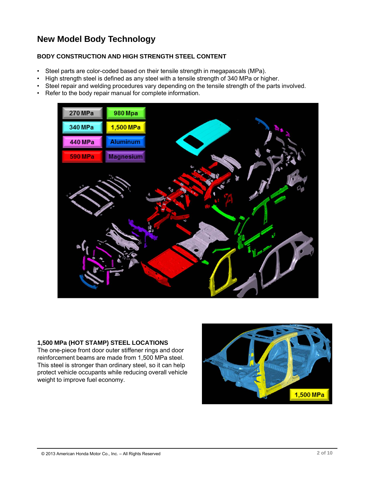## **New Model Body Technology**

### **BODY CONSTRUCTION AND HIGH STRENGTH STEEL CONTENT**

- Steel parts are color-coded based on their tensile strength in megapascals (MPa).
- High strength steel is defined as any steel with a tensile strength of 340 MPa or higher.
- Steel repair and welding procedures vary depending on the tensile strength of the parts involved.
- Refer to the body repair manual for complete information.



### **1,500 MPa (HOT STAMP) STEEL LOCATIONS**

The one-piece front door outer stiffener rings and door reinforcement beams are made from 1,500 MPa steel. This steel is stronger than ordinary steel, so it can help protect vehicle occupants while reducing overall vehicle weight to improve fuel economy.

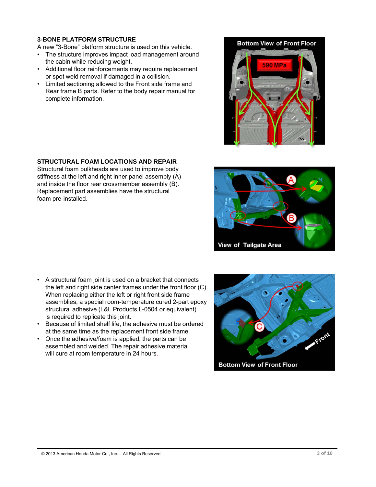### **3-BONE PLATFORM STRUCTURE**

A new "3-Bone" platform structure is used on this vehicle.

- The structure improves impact load management around the cabin while reducing weight.
- Additional floor reinforcements may require replacement or spot weld removal if damaged in a collision.
- Limited sectioning allowed to the Front side frame and Rear frame B parts. Refer to the body repair manual for complete information.

### **STRUCTURAL FOAM LOCATIONS AND REPAIR**

Structural foam bulkheads are used to improve body stiffness at the left and right inner panel assembly (A) and inside the floor rear crossmember assembly (B). Replacement part assemblies have the structural foam pre-installed.

- A structural foam joint is used on a bracket that connects the left and right side center frames under the front floor (C). When replacing either the left or right front side frame assemblies, a special room-temperature cured 2-part epoxy structural adhesive (L&L Products L-0504 or equivalent) is required to replicate this joint.
- Because of limited shelf life, the adhesive must be ordered at the same time as the replacement front side frame.
- Once the adhesive/foam is applied, the parts can be assembled and welded. The repair adhesive material will cure at room temperature in 24 hours.





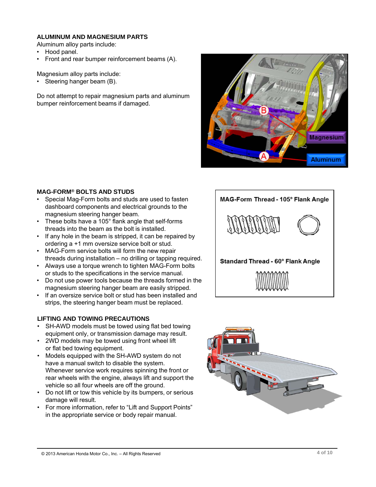### **ALUMINUM AND MAGNESIUM PARTS**

Aluminum alloy parts include:

- Hood panel.
- Front and rear bumper reinforcement beams (A).

Magnesium alloy parts include:

• Steering hanger beam (B).

Do not attempt to repair magnesium parts and aluminum bumper reinforcement beams if damaged.



### **MAG-FORM® BOLTS AND STUDS**

- Special Mag-Form bolts and studs are used to fasten dashboard components and electrical grounds to the magnesium steering hanger beam.
- These bolts have a 105° flank angle that self-forms threads into the beam as the bolt is installed.
- If any hole in the beam is stripped, it can be repaired by ordering a +1 mm oversize service bolt or stud.
- MAG-Form service bolts will form the new repair threads during installation – no drilling or tapping required.
- Always use a torque wrench to tighten MAG-Form bolts or studs to the specifications in the service manual.
- Do not use power tools because the threads formed in the magnesium steering hanger beam are easily stripped.
- If an oversize service bolt or stud has been installed and strips, the steering hanger beam must be replaced.

### **LIFTING AND TOWING PRECAUTIONS**

- SH-AWD models must be towed using flat bed towing equipment only, or transmission damage may result.
- 2WD models may be towed using front wheel lift or flat bed towing equipment.
- Models equipped with the SH-AWD system do not have a manual switch to disable the system. Whenever service work requires spinning the front or rear wheels with the engine, always lift and support the vehicle so all four wheels are off the ground.
- Do not lift or tow this vehicle by its bumpers, or serious damage will result.
- For more information, refer to "Lift and Support Points" in the appropriate service or body repair manual.



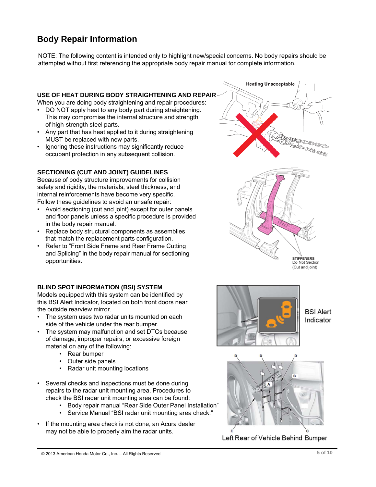## **Body Repair Information**

NOTE: The following content is intended only to highlight new/special concerns. No body repairs should be attempted without first referencing the appropriate body repair manual for complete information.

### **USE OF HEAT DURING BODY STRAIGHTENING AND REPAIR**

When you are doing body straightening and repair procedures:

- DO NOT apply heat to any body part during straightening. This may compromise the internal structure and strength of high-strength steel parts.
- Any part that has heat applied to it during straightening MUST be replaced with new parts.
- Ignoring these instructions may significantly reduce occupant protection in any subsequent collision.

### **SECTIONING (CUT AND JOINT) GUIDELINES**

Because of body structure improvements for collision safety and rigidity, the materials, steel thickness, and internal reinforcements have become very specific. Follow these guidelines to avoid an unsafe repair:

- Avoid sectioning (cut and joint) except for outer panels and floor panels unless a specific procedure is provided in the body repair manual.
- Replace body structural components as assemblies that match the replacement parts configuration.
- Refer to "Front Side Frame and Rear Frame Cutting and Splicing" in the body repair manual for sectioning opportunities.

### **BLIND SPOT INFORMATION (BSI) SYSTEM**

Models equipped with this system can be identified by this BSI Alert Indicator, located on both front doors near the outside rearview mirror.

- The system uses two radar units mounted on each side of the vehicle under the rear bumper.
- The system may malfunction and set DTCs because of damage, improper repairs, or excessive foreign material on any of the following:
	- Rear bumper
	- Outer side panels
	- Radar unit mounting locations
- Several checks and inspections must be done during repairs to the radar unit mounting area. Procedures to check the BSI radar unit mounting area can be found:
	- Body repair manual "Rear Side Outer Panel Installation"
	- Service Manual "BSI radar unit mounting area check."
- If the mounting area check is not done, an Acura dealer may not be able to properly aim the radar units.







### **BSI Alert** Indicator



Left Rear of Vehicle Behind Bumper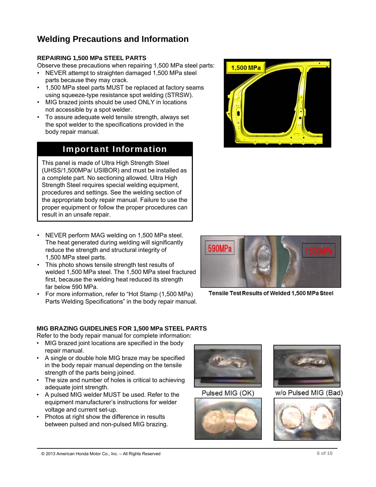## **Welding Precautions and Information**

### **REPAIRING 1,500 MPa STEEL PARTS**

Observe these precautions when repairing 1,500 MPa steel parts:

- NEVER attempt to straighten damaged 1,500 MPa steel parts because they may crack.
- 1,500 MPa steel parts MUST be replaced at factory seams using squeeze-type resistance spot welding (STRSW).
- MIG brazed joints should be used ONLY in locations not accessible by a spot welder.
- To assure adequate weld tensile strength, always set the spot welder to the specifications provided in the body repair manual.

## Important Information

This panel is made of Ultra High Strength Steel (UHSS/1,500MPa/ USIBOR) and must be installed as a complete part. No sectioning allowed. Ultra High Strength Steel requires special welding equipment, procedures and settings. See the welding section of the appropriate body repair manual. Failure to use the proper equipment or follow the proper procedures can result in an unsafe repair.

- NEVER perform MAG welding on 1,500 MPa steel. The heat generated during welding will significantly reduce the strength and structural integrity of 1,500 MPa steel parts.
- This photo shows tensile strength test results of welded 1,500 MPa steel. The 1,500 MPa steel fractured first, because the welding heat reduced its strength far below 590 MPa.
- For more information, refer to "Hot Stamp (1,500 MPa) Parts Welding Specifications" in the body repair manual.

## **MIG BRAZING GUIDELINES FOR 1,500 MPa STEEL PARTS**

Refer to the body repair manual for complete information:

- MIG brazed joint locations are specified in the body repair manual.
- A single or double hole MIG braze may be specified in the body repair manual depending on the tensile strength of the parts being joined.
- The size and number of holes is critical to achieving adequate joint strength.
- A pulsed MIG welder MUST be used. Refer to the equipment manufacturer's instructions for welder voltage and current set-up.
- Photos at right show the difference in results between pulsed and non-pulsed MIG brazing.



Pulsed MIG (OK)







Tensile Test Results of Welded 1,500 MPa Steel

w/o Pulsed MIG (Bad)



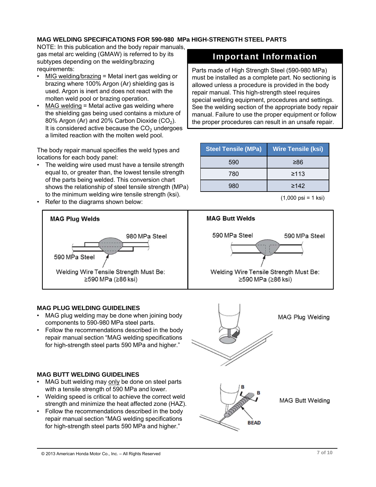### **MAG WELDING SPECIFICATIONS FOR 590-980 MPa HIGH-STRENGTH STEEL PARTS**

NOTE: In this publication and the body repair manuals, gas metal arc welding (GMAW) is referred to by its subtypes depending on the welding/brazing requirements:

- MIG welding/brazing = Metal inert gas welding or brazing where 100% Argon (Ar) shielding gas is used. Argon is inert and does not react with the molten weld pool or brazing operation.
- MAG welding = Metal active gas welding where the shielding gas being used contains a mixture of 80% Argon (Ar) and 20% Carbon Dioxide (CO<sub>2</sub>). It is considered active because the  $CO<sub>2</sub>$  undergoes a limited reaction with the molten weld pool.

The body repair manual specifies the weld types and locations for each body panel:

- The welding wire used must have a tensile strength equal to, or greater than, the lowest tensile strength of the parts being welded. This conversion chart shows the relationship of steel tensile strength (MPa) to the minimum welding wire tensile strength (ksi).
- Refer to the diagrams shown below:

# **MAG Plug Welds** 980 MPa Steel 590 MPa Steel Welding Wire Tensile Strength Must Be: ≥590 MPa (≥86 ksi)

### **MAG PLUG WELDING GUIDELINES**

- MAG plug welding may be done when joining body components to 590-980 MPa steel parts.
- Follow the recommendations described in the body repair manual section "MAG welding specifications for high-strength steel parts 590 MPa and higher."

### **MAG BUTT WELDING GUIDELINES**

- MAG butt welding may only be done on steel parts with a tensile strength of 590 MPa and lower.
- Welding speed is critical to achieve the correct weld strength and minimize the heat affected zone (HAZ).
- Follow the recommendations described in the body repair manual section "MAG welding specifications for high-strength steel parts 590 MPa and higher."

## Important Information

Parts made of High Strength Steel (590-980 MPa) must be installed as a complete part. No sectioning is allowed unless a procedure is provided in the body repair manual. This high-strength steel requires special welding equipment, procedures and settings. See the welding section of the appropriate body repair manual. Failure to use the proper equipment or follow the proper procedures can result in an unsafe repair.

| <b>Wire Tensile (ksi)</b> |
|---------------------------|
| ≥86                       |
| $\geq 113$                |
| $\geq 142$                |
|                           |

<sup>(1,000</sup> psi = 1 ksi)



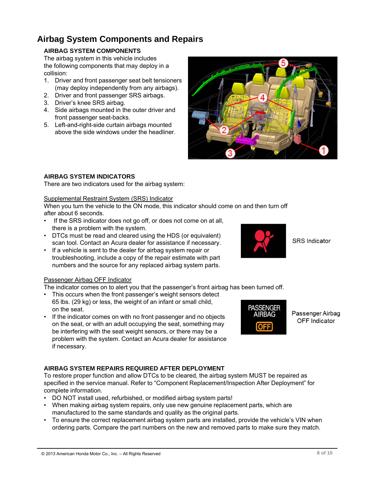© 2013 American Honda Motor Co., Inc. – All Rights Reserved

## **Airbag System Components and Repairs**

### **AIRBAG SYSTEM COMPONENTS**

The airbag system in this vehicle includes the following components that may deploy in a collision:

- 1. Driver and front passenger seat belt tensioners (may deploy independently from any airbags).
- 2. Driver and front passenger SRS airbags.
- 3. Driver's knee SRS airbag.
- 4. Side airbags mounted in the outer driver and front passenger seat-backs.
- 5. Left-and-right-side curtain airbags mounted above the side windows under the headliner.

### **AIRBAG SYSTEM INDICATORS**

There are two indicators used for the airbag system:

### Supplemental Restraint System (SRS) Indicator

When you turn the vehicle to the ON mode, this indicator should come on and then turn off after about 6 seconds.

- If the SRS indicator does not go off, or does not come on at all, there is a problem with the system.
- DTCs must be read and cleared using the HDS (or equivalent) scan tool. Contact an Acura dealer for assistance if necessary.
- If a vehicle is sent to the dealer for airbag system repair or troubleshooting, include a copy of the repair estimate with part numbers and the source for any replaced airbag system parts.

### Passenger Airbag OFF Indicator

The indicator comes on to alert you that the passenger's front airbag has been turned off.

- This occurs when the front passenger's weight sensors detect 65 lbs. (29 kg) or less, the weight of an infant or small child, on the seat.
- If the indicator comes on with no front passenger and no objects on the seat, or with an adult occupying the seat, something may be interfering with the seat weight sensors, or there may be a problem with the system. Contact an Acura dealer for assistance if necessary.

### **AIRBAG SYSTEM REPAIRS REQUIRED AFTER DEPLOYMENT**

To restore proper function and allow DTCs to be cleared, the airbag system MUST be repaired as specified in the service manual. Refer to "Component Replacement/Inspection After Deployment" for complete information.

- DO NOT install used, refurbished, or modified airbag system parts!
- When making airbag system repairs, only use new genuine replacement parts, which are manufactured to the same standards and quality as the original parts.
- To ensure the correct replacement airbag system parts are installed, provide the vehicle's VIN when ordering parts. Compare the part numbers on the new and removed parts to make sure they match.





**SRS** Indicator



Passenger Airbag OFF Indicator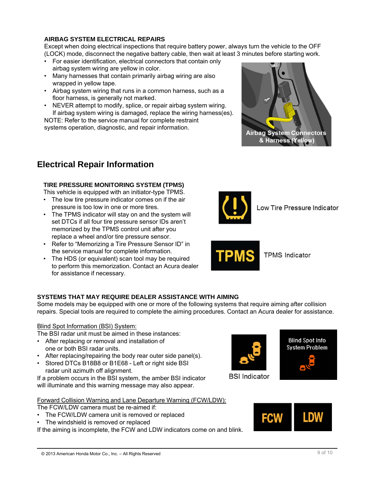### **AIRBAG SYSTEM ELECTRICAL REPAIRS**

Except when doing electrical inspections that require battery power, always turn the vehicle to the OFF (LOCK) mode, disconnect the negative battery cable, then wait at least 3 minutes before starting work.

- For easier identification, electrical connectors that contain only airbag system wiring are yellow in color.
- Many harnesses that contain primarily airbag wiring are also wrapped in yellow tape.
- Airbag system wiring that runs in a common harness, such as a floor harness, is generally not marked.
- NEVER attempt to modify, splice, or repair airbag system wiring. If airbag system wiring is damaged, replace the wiring harness(es).

NOTE: Refer to the service manual for complete restraint systems operation, diagnostic, and repair information.



## **Electrical Repair Information**

### **TIRE PRESSURE MONITORING SYSTEM (TPMS)**

This vehicle is equipped with an initiator-type TPMS.

- The low tire pressure indicator comes on if the air pressure is too low in one or more tires.
- The TPMS indicator will stay on and the system will set DTCs if all four tire pressure sensor IDs aren't memorized by the TPMS control unit after you replace a wheel and/or tire pressure sensor.
- Refer to "Memorizing a Tire Pressure Sensor ID" in the service manual for complete information.
- The HDS (or equivalent) scan tool may be required to perform this memorization. Contact an Acura dealer for assistance if necessary.



Low Tire Pressure Indicator



**TPMS Indicator** 

### **SYSTEMS THAT MAY REQUIRE DEALER ASSISTANCE WITH AIMING**

Some models may be equipped with one or more of the following systems that require aiming after collision repairs. Special tools are required to complete the aiming procedures. Contact an Acura dealer for assistance.

### Blind Spot Information (BSI) System:

The BSI radar unit must be aimed in these instances:

- After replacing or removal and installation of one or both BSI radar units.
- After replacing/repairing the body rear outer side panel(s).
- Stored DTCs B18B8 or B1E68 Left or right side BSI radar unit azimuth off alignment.

If a problem occurs in the BSI system, the amber BSI indicator will illuminate and this warning message may also appear.

Forward Collision Warning and Lane Departure Warning (FCW/LDW):

The FCW/LDW camera must be re-aimed if:

- The FCW/LDW camera unit is removed or replaced
- The windshield is removed or replaced

If the aiming is incomplete, the FCW and LDW indicators come on and blink.



**Blind Spot Info** System Problem